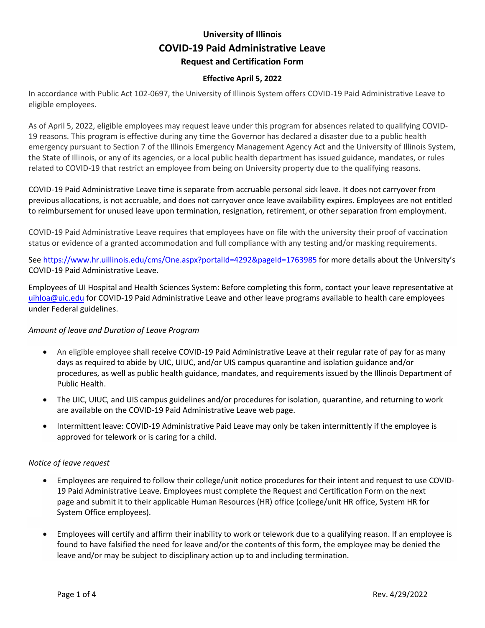# **University of Illinois COVID-19 Paid Administrative Leave Request and Certification Form**

### **Effective April 5, 2022**

In accordance with Public Act 102-0697, the University of Illinois System offers COVID-19 Paid Administrative Leave to eligible employees.

As of April 5, 2022, eligible employees may request leave under this program for absences related to qualifying COVID-19 reasons. This program is effective during any time the Governor has declared a disaster due to a public health emergency pursuant to Section 7 of the Illinois Emergency Management Agency Act and the University of Illinois System, the State of Illinois, or any of its agencies, or a local public health department has issued guidance, mandates, or rules related to COVID-19 that restrict an employee from being on University property due to the qualifying reasons.

COVID-19 Paid Administrative Leave time is separate from accruable personal sick leave. It does not carryover from previous allocations, is not accruable, and does not carryover once leave availability expires. Employees are not entitled to reimbursement for unused leave upon termination, resignation, retirement, or other separation from employment.

COVID-19 Paid Administrative Leave requires that employees have on file with the university their proof of vaccination status or evidence of a granted accommodation and full compliance with any testing and/or masking requirements.

Se[e https://www.hr.uillinois.edu/cms/One.aspx?portalId=4292&pageId=1763985](https://www.hr.uillinois.edu/cms/One.aspx?portalId=4292&pageId=1763985) for more details about the University's COVID-19 Paid Administrative Leave.

Employees of UI Hospital and Health Sciences System: Before completing this form, contact your [leave representative](mailto:uihloa@uic.edu) at [uihloa@uic.edu](mailto:uihloa@uic.edu) for COVID-19 Paid Administrative Leave and other leave programs available to health care employees under Federal guidelines.

#### *Amount of leave and Duration of Leave Program*

- An eligible employee shall receive COVID-19 Paid Administrative Leave at their regular rate of pay for as many days as required to abide by UIC, UIUC, and/or UIS campus quarantine and isolation guidance and/or procedures, as well as public health guidance, mandates, and requirements issued by the Illinois Department of Public Health.
- The UIC, UIUC, and UIS campus guidelines and/or procedures for isolation, quarantine, and returning to work are available on the COVID-19 Paid Administrative Leave web page.
- Intermittent leave: COVID-19 Administrative Paid Leave may only be taken intermittently if the employee is approved for telework or is caring for a child.

#### *Notice of leave request*

- Employees are required to follow their college/unit notice procedures for their intent and request to use COVID-19 Paid Administrative Leave. Employees must complete the Request and Certification Form on the next page and submit it to their applicable Human Resources (HR) office (college/unit HR office, System HR for System Office employees).
- Employees will certify and affirm their inability to work or telework due to a qualifying reason. If an employee is found to have falsified the need for leave and/or the contents of this form, the employee may be denied the leave and/or may be subject to disciplinary action up to and including termination.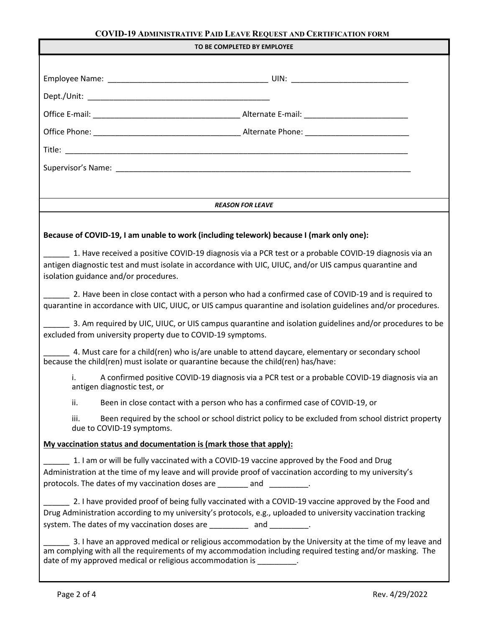## **COVID-19 ADMINISTRATIVE PAID LEAVE REQUEST AND CERTIFICATION FORM**

| TO BE COMPLETED BY EMPLOYEE                                                                                                                                                                                                                                                                    |  |  |  |
|------------------------------------------------------------------------------------------------------------------------------------------------------------------------------------------------------------------------------------------------------------------------------------------------|--|--|--|
|                                                                                                                                                                                                                                                                                                |  |  |  |
|                                                                                                                                                                                                                                                                                                |  |  |  |
|                                                                                                                                                                                                                                                                                                |  |  |  |
|                                                                                                                                                                                                                                                                                                |  |  |  |
|                                                                                                                                                                                                                                                                                                |  |  |  |
|                                                                                                                                                                                                                                                                                                |  |  |  |
|                                                                                                                                                                                                                                                                                                |  |  |  |
|                                                                                                                                                                                                                                                                                                |  |  |  |
| <b>REASON FOR LEAVE</b>                                                                                                                                                                                                                                                                        |  |  |  |
|                                                                                                                                                                                                                                                                                                |  |  |  |
| Because of COVID-19, I am unable to work (including telework) because I (mark only one):                                                                                                                                                                                                       |  |  |  |
| 1. Have received a positive COVID-19 diagnosis via a PCR test or a probable COVID-19 diagnosis via an<br>antigen diagnostic test and must isolate in accordance with UIC, UIUC, and/or UIS campus quarantine and<br>isolation guidance and/or procedures.                                      |  |  |  |
| 2. Have been in close contact with a person who had a confirmed case of COVID-19 and is required to<br>quarantine in accordance with UIC, UIUC, or UIS campus quarantine and isolation guidelines and/or procedures.                                                                           |  |  |  |
| 3. Am required by UIC, UIUC, or UIS campus quarantine and isolation guidelines and/or procedures to be<br>excluded from university property due to COVID-19 symptoms.                                                                                                                          |  |  |  |
| 4. Must care for a child(ren) who is/are unable to attend daycare, elementary or secondary school<br>because the child(ren) must isolate or quarantine because the child(ren) has/have:                                                                                                        |  |  |  |
| A confirmed positive COVID-19 diagnosis via a PCR test or a probable COVID-19 diagnosis via an<br>İ.<br>antigen diagnostic test, or                                                                                                                                                            |  |  |  |
| ii.<br>Been in close contact with a person who has a confirmed case of COVID-19, or                                                                                                                                                                                                            |  |  |  |
| iii.<br>Been required by the school or school district policy to be excluded from school district property<br>due to COVID-19 symptoms.                                                                                                                                                        |  |  |  |
| My vaccination status and documentation is (mark those that apply):                                                                                                                                                                                                                            |  |  |  |
| 1. I am or will be fully vaccinated with a COVID-19 vaccine approved by the Food and Drug<br>Administration at the time of my leave and will provide proof of vaccination according to my university's<br>protocols. The dates of my vaccination doses are _______ and ________.               |  |  |  |
| 2. I have provided proof of being fully vaccinated with a COVID-19 vaccine approved by the Food and<br>Drug Administration according to my university's protocols, e.g., uploaded to university vaccination tracking<br>system. The dates of my vaccination doses are __________ and ________. |  |  |  |
| 3. I have an approved medical or religious accommodation by the University at the time of my leave and<br>am complying with all the requirements of my accommodation including required testing and/or masking. The<br>date of my approved medical or religious accommodation is _________.    |  |  |  |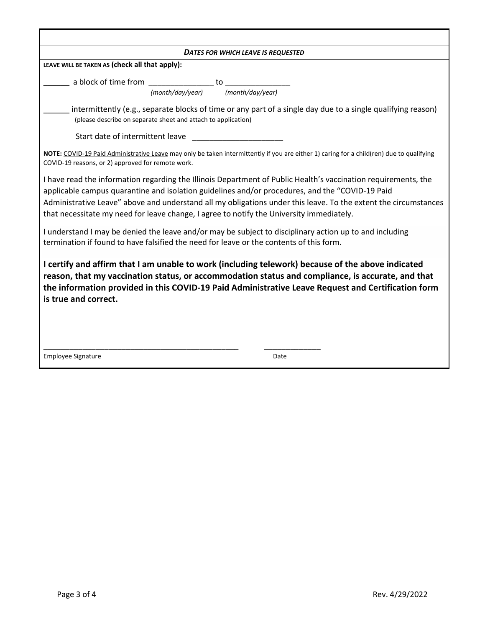| <b>DATES FOR WHICH LEAVE IS REQUESTED</b>                                                                                                                                                                                                                                                                                                                                                                                        |  |  |  |
|----------------------------------------------------------------------------------------------------------------------------------------------------------------------------------------------------------------------------------------------------------------------------------------------------------------------------------------------------------------------------------------------------------------------------------|--|--|--|
| LEAVE WILL BE TAKEN AS (check all that apply):                                                                                                                                                                                                                                                                                                                                                                                   |  |  |  |
| a block of time from to                                                                                                                                                                                                                                                                                                                                                                                                          |  |  |  |
| (month/day/year)<br>(month/day/year)                                                                                                                                                                                                                                                                                                                                                                                             |  |  |  |
| intermittently (e.g., separate blocks of time or any part of a single day due to a single qualifying reason)<br>(please describe on separate sheet and attach to application)                                                                                                                                                                                                                                                    |  |  |  |
| Start date of intermittent leave                                                                                                                                                                                                                                                                                                                                                                                                 |  |  |  |
| NOTE: COVID-19 Paid Administrative Leave may only be taken intermittently if you are either 1) caring for a child(ren) due to qualifying<br>COVID-19 reasons, or 2) approved for remote work.                                                                                                                                                                                                                                    |  |  |  |
| I have read the information regarding the Illinois Department of Public Health's vaccination requirements, the<br>applicable campus quarantine and isolation guidelines and/or procedures, and the "COVID-19 Paid<br>Administrative Leave" above and understand all my obligations under this leave. To the extent the circumstances<br>that necessitate my need for leave change, I agree to notify the University immediately. |  |  |  |
| I understand I may be denied the leave and/or may be subject to disciplinary action up to and including<br>termination if found to have falsified the need for leave or the contents of this form.                                                                                                                                                                                                                               |  |  |  |
| I certify and affirm that I am unable to work (including telework) because of the above indicated<br>reason, that my vaccination status, or accommodation status and compliance, is accurate, and that<br>the information provided in this COVID-19 Paid Administrative Leave Request and Certification form<br>is true and correct.                                                                                             |  |  |  |
| <b>Employee Signature</b><br>Date                                                                                                                                                                                                                                                                                                                                                                                                |  |  |  |